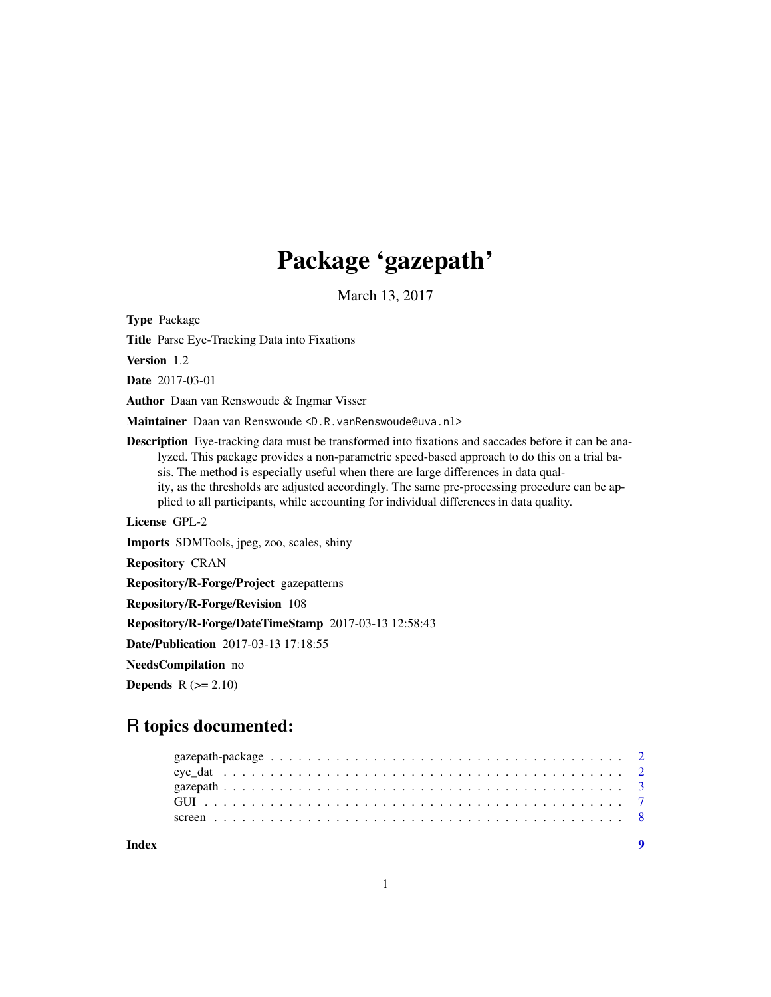## Package 'gazepath'

March 13, 2017

Type Package

Title Parse Eye-Tracking Data into Fixations

Version 1.2

Date 2017-03-01

Author Daan van Renswoude & Ingmar Visser

Maintainer Daan van Renswoude <D.R.vanRenswoude@uva.nl>

Description Eye-tracking data must be transformed into fixations and saccades before it can be analyzed. This package provides a non-parametric speed-based approach to do this on a trial basis. The method is especially useful when there are large differences in data quality, as the thresholds are adjusted accordingly. The same pre-processing procedure can be applied to all participants, while accounting for individual differences in data quality.

License GPL-2

Imports SDMTools, jpeg, zoo, scales, shiny

Repository CRAN

Repository/R-Forge/Project gazepatterns

Repository/R-Forge/Revision 108

Repository/R-Forge/DateTimeStamp 2017-03-13 12:58:43

Date/Publication 2017-03-13 17:18:55

NeedsCompilation no

**Depends**  $R$  ( $>= 2.10$ )

## R topics documented:

**Index** [9](#page-8-0)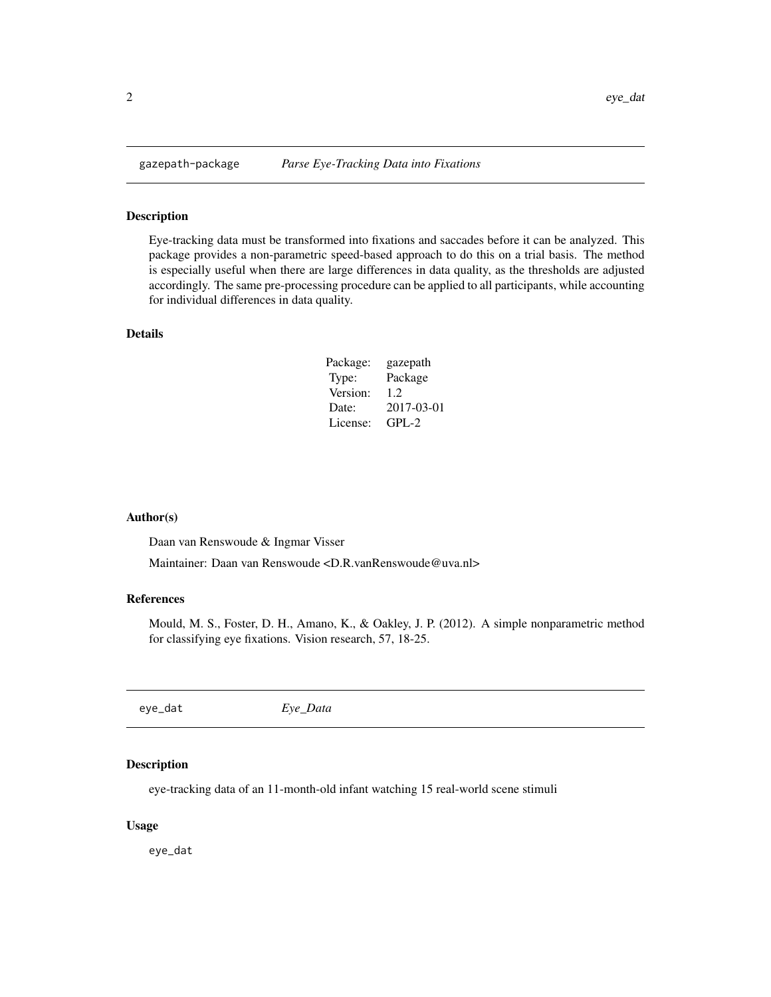<span id="page-1-0"></span>

#### Description

Eye-tracking data must be transformed into fixations and saccades before it can be analyzed. This package provides a non-parametric speed-based approach to do this on a trial basis. The method is especially useful when there are large differences in data quality, as the thresholds are adjusted accordingly. The same pre-processing procedure can be applied to all participants, while accounting for individual differences in data quality.

#### Details

| Package: | gazepath   |
|----------|------------|
| Type:    | Package    |
| Version: | 1.2        |
| Date:    | 2017-03-01 |
| License: | $GPL-2$    |

#### Author(s)

Daan van Renswoude & Ingmar Visser

Maintainer: Daan van Renswoude <D.R.vanRenswoude@uva.nl>

#### References

Mould, M. S., Foster, D. H., Amano, K., & Oakley, J. P. (2012). A simple nonparametric method for classifying eye fixations. Vision research, 57, 18-25.

| eye_dat<br>Eye_Data |
|---------------------|
|---------------------|

#### Description

eye-tracking data of an 11-month-old infant watching 15 real-world scene stimuli

#### Usage

eye\_dat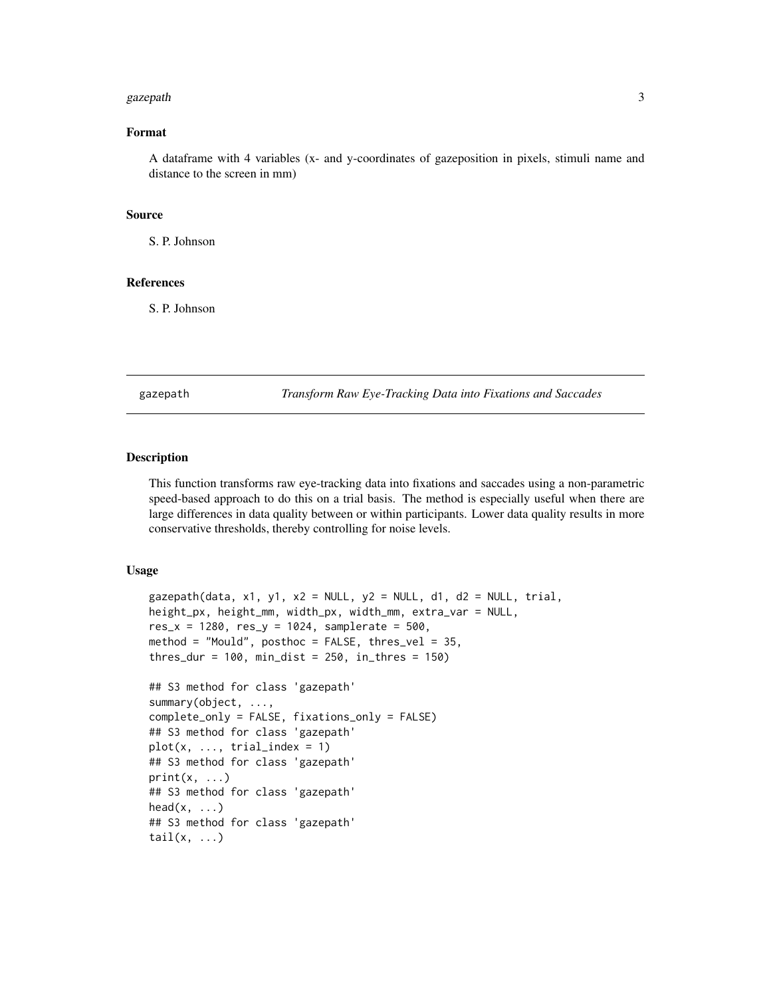#### <span id="page-2-0"></span>gazepath 3

#### Format

A dataframe with 4 variables (x- and y-coordinates of gazeposition in pixels, stimuli name and distance to the screen in mm)

#### Source

S. P. Johnson

#### References

S. P. Johnson

gazepath *Transform Raw Eye-Tracking Data into Fixations and Saccades*

#### Description

This function transforms raw eye-tracking data into fixations and saccades using a non-parametric speed-based approach to do this on a trial basis. The method is especially useful when there are large differences in data quality between or within participants. Lower data quality results in more conservative thresholds, thereby controlling for noise levels.

#### Usage

```
gazepath(data, x1, y1, x2 = NULL, y2 = NULL, d1, d2 = NULL, trial,
height_px, height_mm, width_px, width_mm, extra_var = NULL,
res_x = 1280, res_y = 1024, samplerate = 500,
method = "Mould", posthoc = FALSE, thres_vel = 35,
thres_dur = 100, min_dist = 250, in_thres = 150## S3 method for class 'gazepath'
summary(object, ...,
complete_only = FALSE, fixations_only = FALSE)
## S3 method for class 'gazepath'
plot(x, ..., trial_index = 1)## S3 method for class 'gazepath'
print(x, \ldots)## S3 method for class 'gazepath'
head(x, \ldots)## S3 method for class 'gazepath'
tail(x, \ldots)
```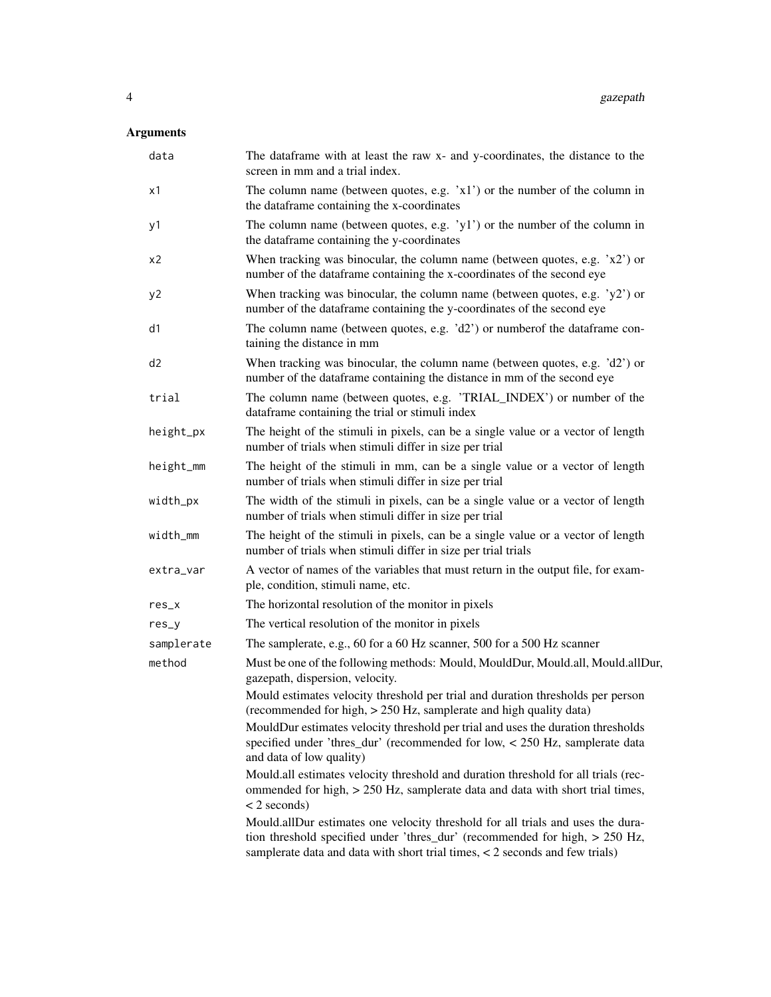## Arguments

| data           | The dataframe with at least the raw x- and y-coordinates, the distance to the<br>screen in mm and a trial index.                                                                                                                                 |
|----------------|--------------------------------------------------------------------------------------------------------------------------------------------------------------------------------------------------------------------------------------------------|
| x1             | The column name (between quotes, e.g. 'x1') or the number of the column in<br>the dataframe containing the x-coordinates                                                                                                                         |
| y1             | The column name (between quotes, e.g. 'y1') or the number of the column in<br>the dataframe containing the y-coordinates                                                                                                                         |
| x2             | When tracking was binocular, the column name (between quotes, e.g. $x2'$ ) or<br>number of the dataframe containing the x-coordinates of the second eye                                                                                          |
| y2             | When tracking was binocular, the column name (between quotes, e.g. $'y2'$ ) or<br>number of the dataframe containing the y-coordinates of the second eye                                                                                         |
| d1             | The column name (between quotes, e.g. $'d2'$ ) or number of the data frame con-<br>taining the distance in mm                                                                                                                                    |
| d <sub>2</sub> | When tracking was binocular, the column name (between quotes, e.g. 'd2') or<br>number of the dataframe containing the distance in mm of the second eye                                                                                           |
| trial          | The column name (between quotes, e.g. 'TRIAL_INDEX') or number of the<br>dataframe containing the trial or stimuli index                                                                                                                         |
| height_px      | The height of the stimuli in pixels, can be a single value or a vector of length<br>number of trials when stimuli differ in size per trial                                                                                                       |
| height_mm      | The height of the stimuli in mm, can be a single value or a vector of length<br>number of trials when stimuli differ in size per trial                                                                                                           |
| width_px       | The width of the stimuli in pixels, can be a single value or a vector of length<br>number of trials when stimuli differ in size per trial                                                                                                        |
| width_mm       | The height of the stimuli in pixels, can be a single value or a vector of length<br>number of trials when stimuli differ in size per trial trials                                                                                                |
| extra_var      | A vector of names of the variables that must return in the output file, for exam-<br>ple, condition, stimuli name, etc.                                                                                                                          |
| $res_x$        | The horizontal resolution of the monitor in pixels                                                                                                                                                                                               |
| $res_y$        | The vertical resolution of the monitor in pixels                                                                                                                                                                                                 |
| samplerate     | The samplerate, e.g., 60 for a 60 Hz scanner, 500 for a 500 Hz scanner                                                                                                                                                                           |
| method         | Must be one of the following methods: Mould, MouldDur, Mould.all, Mould.allDur,<br>gazepath, dispersion, velocity.                                                                                                                               |
|                | Mould estimates velocity threshold per trial and duration thresholds per person<br>(recommended for high, > 250 Hz, samplerate and high quality data)                                                                                            |
|                | MouldDur estimates velocity threshold per trial and uses the duration thresholds<br>specified under 'thres_dur' (recommended for low, $<$ 250 Hz, samplerate data<br>and data of low quality)                                                    |
|                | Mould.all estimates velocity threshold and duration threshold for all trials (rec-<br>ommended for high, > 250 Hz, samplerate data and data with short trial times,<br>$<$ 2 seconds)                                                            |
|                | Mould.allDur estimates one velocity threshold for all trials and uses the dura-<br>tion threshold specified under 'thres_dur' (recommended for high, > 250 Hz,<br>samplerate data and data with short trial times, $<$ 2 seconds and few trials) |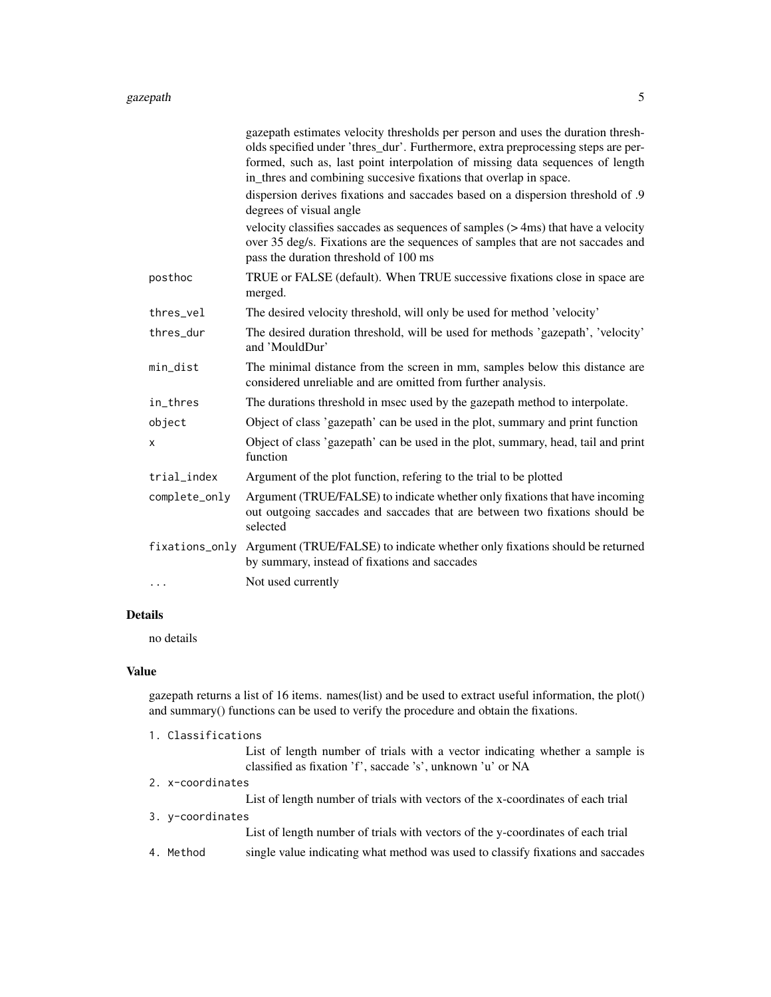#### gazepath 5 and 5 and 5 and 5 and 5 and 5 and 5 and 5 and 5 and 5 and 5 and 5 and 5 and 5 and 5 and 5 and 5 and 5 and 5 and 5 and 5 and 5 and 5 and 5 and 5 and 5 and 5 and 5 and 5 and 5 and 5 and 5 and 5 and 5 and 5 and 5 a

|                | gazepath estimates velocity thresholds per person and uses the duration thresh-<br>olds specified under 'thres_dur'. Furthermore, extra preprocessing steps are per-<br>formed, such as, last point interpolation of missing data sequences of length<br>in_thres and combining succesive fixations that overlap in space. |
|----------------|----------------------------------------------------------------------------------------------------------------------------------------------------------------------------------------------------------------------------------------------------------------------------------------------------------------------------|
|                | dispersion derives fixations and saccades based on a dispersion threshold of .9<br>degrees of visual angle                                                                                                                                                                                                                 |
|                | velocity classifies saccades as sequences of samples $($ > 4ms) that have a velocity<br>over 35 deg/s. Fixations are the sequences of samples that are not saccades and<br>pass the duration threshold of 100 ms                                                                                                           |
| posthoc        | TRUE or FALSE (default). When TRUE successive fixations close in space are<br>merged.                                                                                                                                                                                                                                      |
| thres_vel      | The desired velocity threshold, will only be used for method 'velocity'                                                                                                                                                                                                                                                    |
| thres_dur      | The desired duration threshold, will be used for methods 'gazepath', 'velocity'<br>and 'MouldDur'                                                                                                                                                                                                                          |
| min_dist       | The minimal distance from the screen in mm, samples below this distance are<br>considered unreliable and are omitted from further analysis.                                                                                                                                                                                |
| in_thres       | The durations threshold in msec used by the gazepath method to interpolate.                                                                                                                                                                                                                                                |
| object         | Object of class 'gazepath' can be used in the plot, summary and print function                                                                                                                                                                                                                                             |
| X              | Object of class 'gazepath' can be used in the plot, summary, head, tail and print<br>function                                                                                                                                                                                                                              |
| trial_index    | Argument of the plot function, refering to the trial to be plotted                                                                                                                                                                                                                                                         |
| complete_only  | Argument (TRUE/FALSE) to indicate whether only fixations that have incoming<br>out outgoing saccades and saccades that are between two fixations should be<br>selected                                                                                                                                                     |
| fixations_only | Argument (TRUE/FALSE) to indicate whether only fixations should be returned<br>by summary, instead of fixations and saccades                                                                                                                                                                                               |
| .              | Not used currently                                                                                                                                                                                                                                                                                                         |
|                |                                                                                                                                                                                                                                                                                                                            |

#### Details

no details

### Value

gazepath returns a list of 16 items. names(list) and be used to extract useful information, the plot() and summary() functions can be used to verify the procedure and obtain the fixations.

1. Classifications

List of length number of trials with a vector indicating whether a sample is classified as fixation 'f', saccade 's', unknown 'u' or NA

2. x-coordinates

List of length number of trials with vectors of the x-coordinates of each trial

3. y-coordinates

List of length number of trials with vectors of the y-coordinates of each trial

4. Method single value indicating what method was used to classify fixations and saccades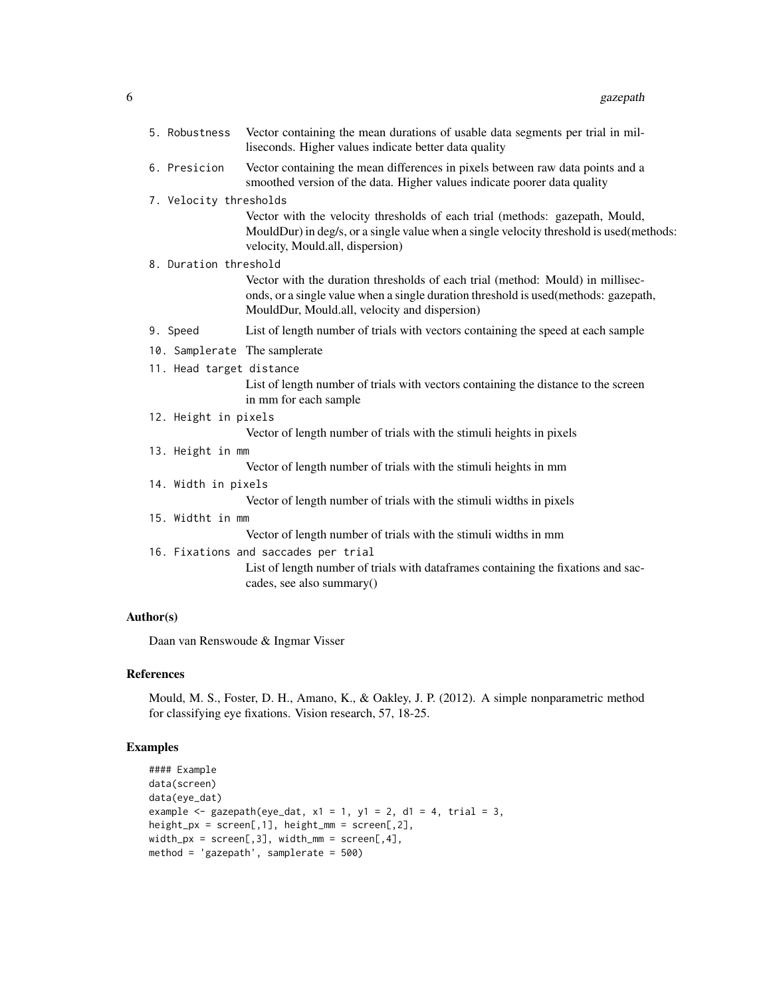|  | 5. Robustness            | Vector containing the mean durations of usable data segments per trial in mil-<br>liseconds. Higher values indicate better data quality                                                                                 |
|--|--------------------------|-------------------------------------------------------------------------------------------------------------------------------------------------------------------------------------------------------------------------|
|  | 6. Presicion             | Vector containing the mean differences in pixels between raw data points and a<br>smoothed version of the data. Higher values indicate poorer data quality                                                              |
|  | 7. Velocity thresholds   |                                                                                                                                                                                                                         |
|  |                          | Vector with the velocity thresholds of each trial (methods: gazepath, Mould,<br>MouldDur) in deg/s, or a single value when a single velocity threshold is used (methods:<br>velocity, Mould.all, dispersion)            |
|  | 8. Duration threshold    |                                                                                                                                                                                                                         |
|  |                          | Vector with the duration thresholds of each trial (method: Mould) in millisec-<br>onds, or a single value when a single duration threshold is used (methods: gazepath,<br>MouldDur, Mould.all, velocity and dispersion) |
|  | 9. Speed                 | List of length number of trials with vectors containing the speed at each sample                                                                                                                                        |
|  | 11. Head target distance | 10. Samplerate The samplerate                                                                                                                                                                                           |
|  |                          | Let of langth number of trials with vectors containing the distance to the screen                                                                                                                                       |

List of length number of trials with vectors containing the distance to the screen in mm for each sample

- 12. Height in pixels
	- Vector of length number of trials with the stimuli heights in pixels
- 13. Height in mm

Vector of length number of trials with the stimuli heights in mm

14. Width in pixels

Vector of length number of trials with the stimuli widths in pixels

15. Widtht in mm

Vector of length number of trials with the stimuli widths in mm

16. Fixations and saccades per trial

List of length number of trials with dataframes containing the fixations and saccades, see also summary()

#### Author(s)

Daan van Renswoude & Ingmar Visser

#### References

Mould, M. S., Foster, D. H., Amano, K., & Oakley, J. P. (2012). A simple nonparametric method for classifying eye fixations. Vision research, 57, 18-25.

#### Examples

```
#### Example
data(screen)
data(eye_dat)
example \leq gazepath(eye_dat, x1 = 1, y1 = 2, d1 = 4, trial = 3,
height_px = screen[,1], height_mm = screen[,2],
width_px = screen[,3], width_m = screen[,4],method = 'gazepath', samplerate = 500)
```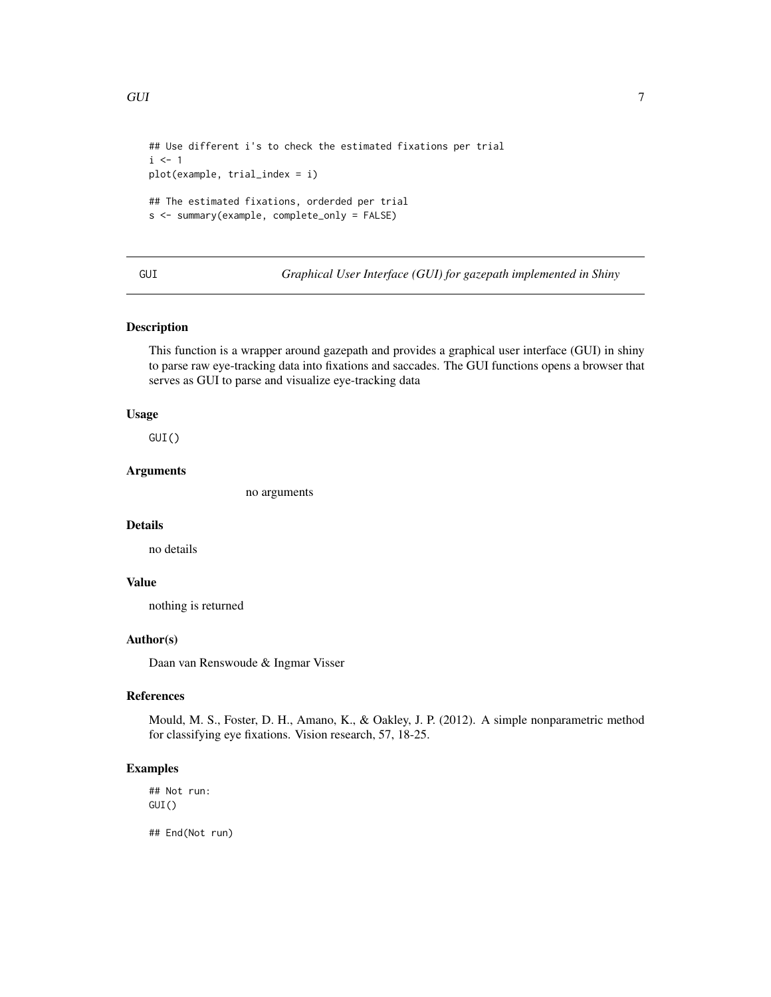```
## Use different i's to check the estimated fixations per trial
i \leq -1plot(example, trial_index = i)
## The estimated fixations, orderded per trial
s <- summary(example, complete_only = FALSE)
```
GUI *Graphical User Interface (GUI) for gazepath implemented in Shiny*

#### Description

This function is a wrapper around gazepath and provides a graphical user interface (GUI) in shiny to parse raw eye-tracking data into fixations and saccades. The GUI functions opens a browser that serves as GUI to parse and visualize eye-tracking data

#### Usage

GUI()

#### Arguments

no arguments

#### Details

no details

#### Value

nothing is returned

#### Author(s)

Daan van Renswoude & Ingmar Visser

#### References

Mould, M. S., Foster, D. H., Amano, K., & Oakley, J. P. (2012). A simple nonparametric method for classifying eye fixations. Vision research, 57, 18-25.

#### Examples

## Not run: GUI()

## End(Not run)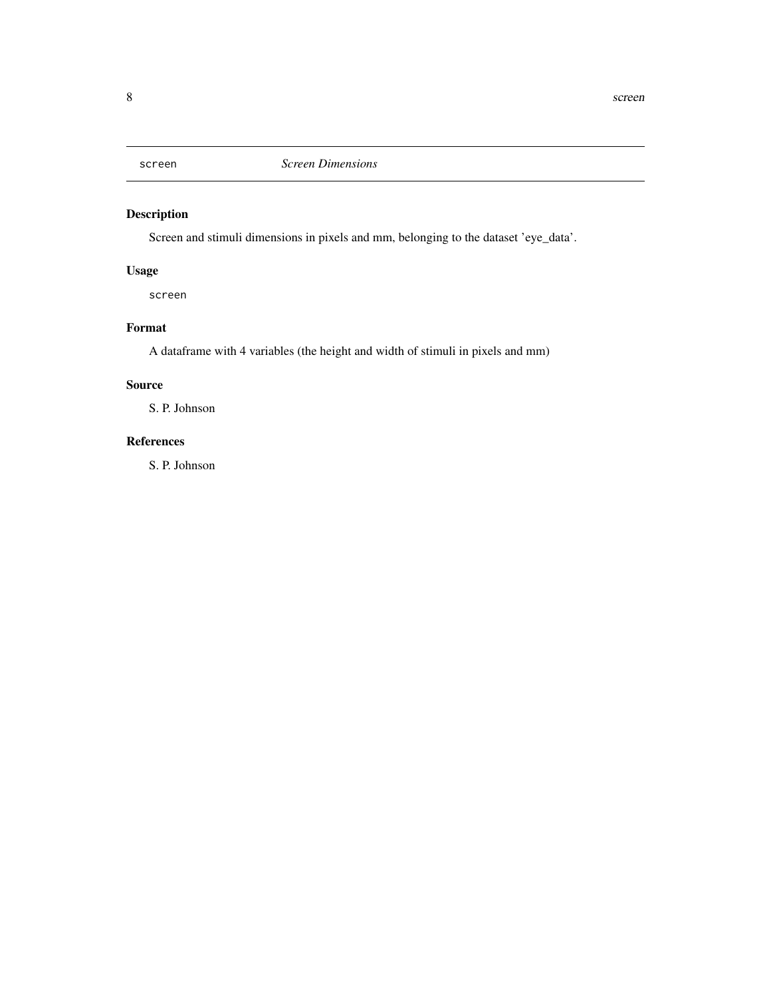<span id="page-7-0"></span>

#### Description

Screen and stimuli dimensions in pixels and mm, belonging to the dataset 'eye\_data'.

## Usage

screen

## Format

A dataframe with 4 variables (the height and width of stimuli in pixels and mm)

#### Source

S. P. Johnson

#### References

S. P. Johnson